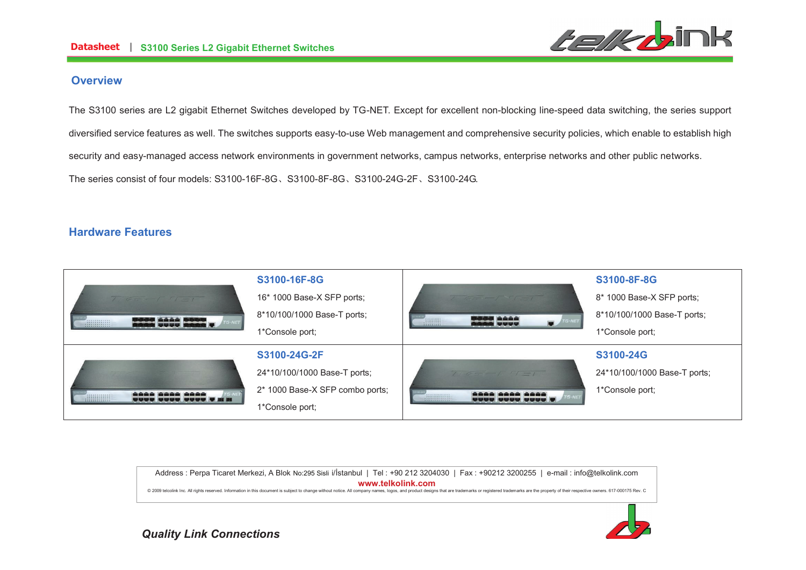

# **Overview**

The S3100 series are L2 gigabit Ethernet Switches developed by TG-NET. Except for excellent non-blocking line-speed data switching, the series support diversified service features as well. The switches supports easy-to-use Web management and comprehensive security policies, which enable to establish high security and easy-managed access network environments in government networks, campus networks, enterprise networks and other public networks. The series consist of four models: S3100-16F-8GǃS3100-8F-8GǃS3100-24G-2FǃS3100-24G.

# **Hardware Features**



Address : Perpa Ticaret Merkezi, A Blok No:295 Sisli i/İstanbul | Tel : +90 212 3204030 | Fax : +90212 3200255 | e-mail : info@telkolink.com  $www.telkolink.com$ @ 2009 telcolink Inc. All rights reserved. Information in this document is subiect to change without notice. All company names, logos, and product designs that are trademarks or registered trademarks are the property of th

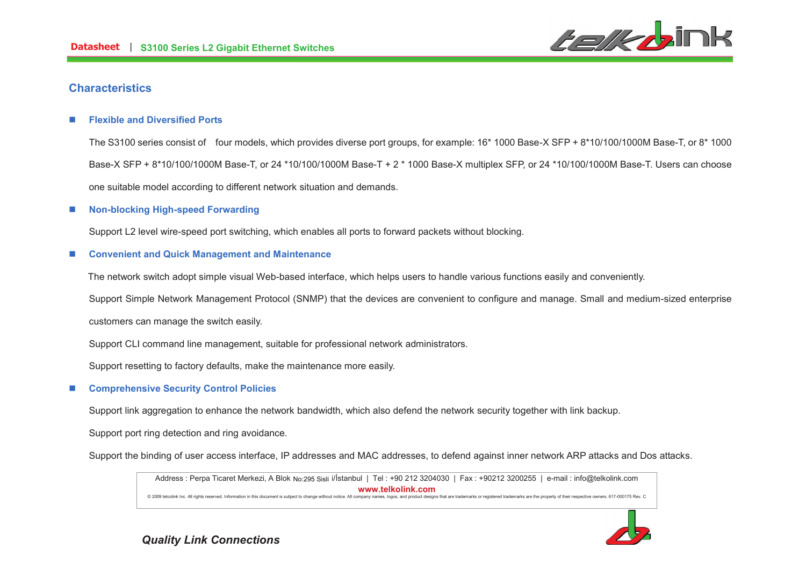

# **Characteristics**

### n**Flexible and Diversified Ports**

The S3100 series consist of four models, which provides diverse port groups, for example: 16\* 1000 Base-X SFP + 8\*10/100/1000M Base-T, or 8\* 1000 Base-X SFP + 8\*10/100/1000M Base-T, or 24 \*10/100/1000M Base-T + 2 \* 1000 Base-X multiplex SFP, or 24 \*10/100/1000M Base-T. Users can choose one suitable model according to different network situation and demands.

### n**Non-blocking High-speed Forwarding**

Support L2 level wire-speed port switching, which enables all ports to forward packets without blocking.

### n**Convenient and Quick Management and Maintenance**

The network switch adopt simple visual Web-based interface, which helps users to handle various functions easily and conveniently.

Support Simple Network Management Protocol (SNMP) that the devices are convenient to configure and manage. Small and medium-sized enterprise

customers can manage the switch easily.

Support CLI command line management, suitable for professional network administrators.

Support resetting to factory defaults, make the maintenance more easily.

## n**Comprehensive Security Control Policies**

Support link aggregation to enhance the network bandwidth, which also defend the network security together with link backup.

Support port ring detection and ring avoidance.

Support the binding of user access interface, IP addresses and MAC addresses, to defend against inner network ARP attacks and Dos attacks.

Address : Perpa Ticaret Merkezi, A Blok No:295 Sisli i/İstanbul | Tel : +90 212 3204030 | Fax : +90212 3200255 | e-mail : info@telkolink.com  $www.telkolink.com$ @ 2009 telcolink Inc. All rights reserved. Information in this document is subiect to change without notice. All company names, logos, and product designs that are trademarks or registered trademarks are the property of th

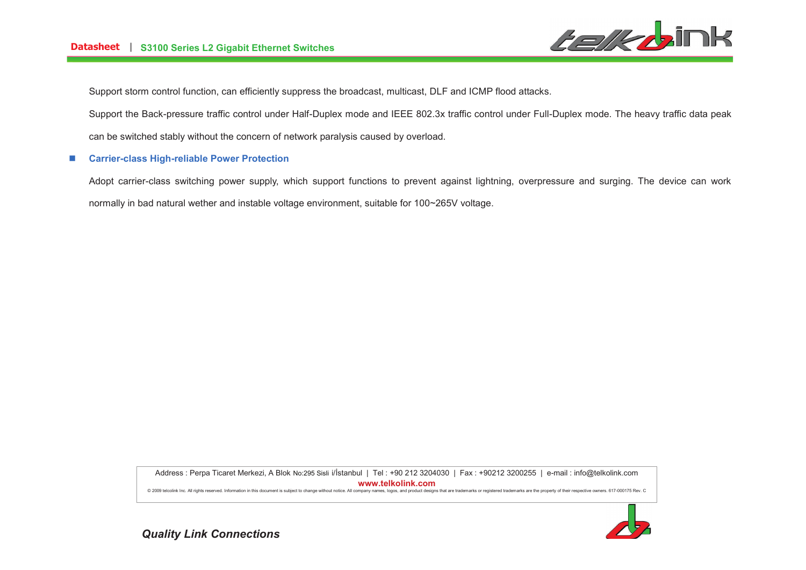

Support storm control function, can efficiently suppress the broadcast, multicast, DLF and ICMP flood attacks.

Support the Back-pressure traffic control under Half-Duplex mode and IEEE 802.3x traffic control under Full-Duplex mode. The heavy traffic data peak

can be switched stably without the concern of network paralysis caused by overload.

#### n**Carrier-class High-reliable Power Protection**

Adopt carrier-class switching power supply, which support functions to prevent against lightning, overpressure and surging. The device can work normally in bad natural wether and instable voltage environment, suitable for 100~265V voltage.

> Address : Perpa Ticaret Merkezi, A Blok No:295 Sisli i/İstanbul | Tel : +90 212 3204030 | Fax : +90212 3200255 | e-mail : info@telkolink.com  $www.telkolink.com$

@ 2009 telcolink Inc. All rights reserved. Information in this document is subject to change without notice. All company names, logos, and product designs that are trademarks or registered trademarks are the property of th

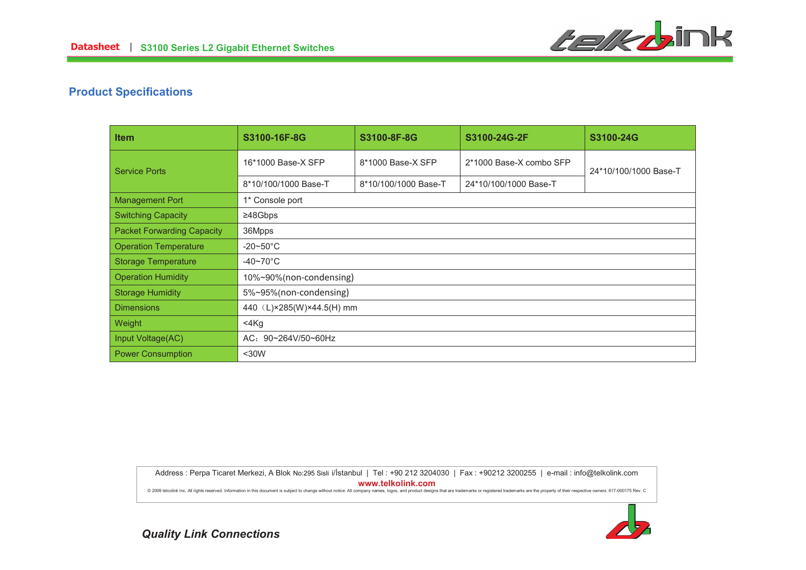

# **Product Specifications**

| <b>Item</b>                       | S3100-16F-8G                | S3100-8F-8G          | S3100-24G-2F            | S3100-24G             |
|-----------------------------------|-----------------------------|----------------------|-------------------------|-----------------------|
| <b>Service Ports</b>              | 16*1000 Base-X SFP          | 8*1000 Base-X SFP    | 2*1000 Base-X combo SFP | 24*10/100/1000 Base-T |
|                                   | 8*10/100/1000 Base-T        | 8*10/100/1000 Base-T | 24*10/100/1000 Base-T   |                       |
| <b>Management Port</b>            | 1* Console port             |                      |                         |                       |
| <b>Switching Capacity</b>         | ≥48Gbps                     |                      |                         |                       |
| <b>Packet Forwarding Capacity</b> | 36Mpps                      |                      |                         |                       |
| <b>Operation Temperature</b>      | $-20\nthicksim50^{\circ}$ C |                      |                         |                       |
| <b>Storage Temperature</b>        | $-40 - 70^{\circ}$ C        |                      |                         |                       |
| <b>Operation Humidity</b>         | 10%~90%(non-condensing)     |                      |                         |                       |
| <b>Storage Humidity</b>           | 5%~95%(non-condensing)      |                      |                         |                       |
| <b>Dimensions</b>                 | 440 (L)×285(W)×44.5(H) mm   |                      |                         |                       |
| Weight                            | 4Kg                         |                      |                         |                       |
| Input Voltage(AC)                 | AC: 90~264V/50~60Hz         |                      |                         |                       |
| <b>Power Consumption</b>          | $30W$                       |                      |                         |                       |

Address : Perpa Ticaret Merkezi, A Blok No:295 Sisli i/İstanbul | Tel : +90 212 3204030 | Fax : +90212 3200255 | e-mail : info@telkolink.com

 $www.telkolink.com$ 

@ 2009 telcolink Inc. All rights reserved. Information in this document is subject to change without notice. All company names, logos, and product designs that are trademarks or registered trademarks are the property of th

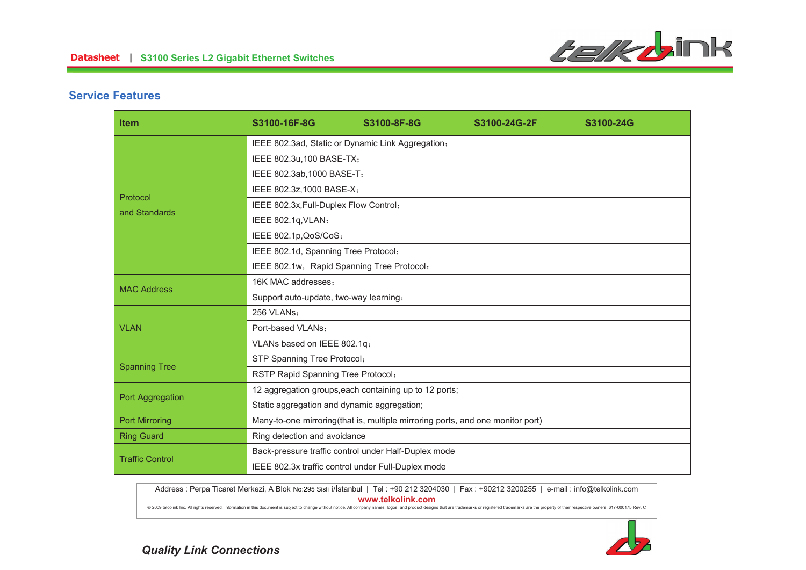

# **Service Features**

| <b>Item</b>               | S3100-16F-8G                                                                   | S3100-8F-8G | S3100-24G-2F | S3100-24G |  |
|---------------------------|--------------------------------------------------------------------------------|-------------|--------------|-----------|--|
| Protocol<br>and Standards | IEEE 802.3ad, Static or Dynamic Link Aggregation;                              |             |              |           |  |
|                           | IEEE 802.3u,100 BASE-TX;                                                       |             |              |           |  |
|                           | IEEE 802.3ab, 1000 BASE-T;                                                     |             |              |           |  |
|                           | IEEE 802.3z, 1000 BASE-X;                                                      |             |              |           |  |
|                           | IEEE 802.3x, Full-Duplex Flow Control;                                         |             |              |           |  |
|                           | IEEE 802.1q, VLAN;                                                             |             |              |           |  |
|                           | IEEE 802.1p, QoS/CoS;                                                          |             |              |           |  |
|                           | IEEE 802.1d, Spanning Tree Protocol;                                           |             |              |           |  |
|                           | IEEE 802.1w, Rapid Spanning Tree Protocol;                                     |             |              |           |  |
| <b>MAC Address</b>        | 16K MAC addresses:                                                             |             |              |           |  |
|                           | Support auto-update, two-way learning,                                         |             |              |           |  |
| <b>VLAN</b>               | 256 VLANs:                                                                     |             |              |           |  |
|                           | Port-based VLANs:                                                              |             |              |           |  |
|                           | VLANs based on IEEE 802.1q;                                                    |             |              |           |  |
| <b>Spanning Tree</b>      | STP Spanning Tree Protocol;                                                    |             |              |           |  |
|                           | RSTP Rapid Spanning Tree Protocol;                                             |             |              |           |  |
| Port Aggregation          | 12 aggregation groups, each containing up to 12 ports;                         |             |              |           |  |
|                           | Static aggregation and dynamic aggregation;                                    |             |              |           |  |
| <b>Port Mirroring</b>     | Many-to-one mirroring(that is, multiple mirroring ports, and one monitor port) |             |              |           |  |
| <b>Ring Guard</b>         | Ring detection and avoidance                                                   |             |              |           |  |
| <b>Traffic Control</b>    | Back-pressure traffic control under Half-Duplex mode                           |             |              |           |  |
|                           | IEEE 802.3x traffic control under Full-Duplex mode                             |             |              |           |  |

Address : Perpa Ticaret Merkezi, A Blok No:295 Sisli i/İstanbul | Tel : +90 212 3204030 | Fax : +90212 3200255 | e-mail : info@telkolink.com  $www.telkolink.com$ 

@ 2009 telcolink Inc. All rights reserved. Information in this document is subject to change without notice. All company names, logos, and product designs that are trademarks or registered trademarks are the property of th

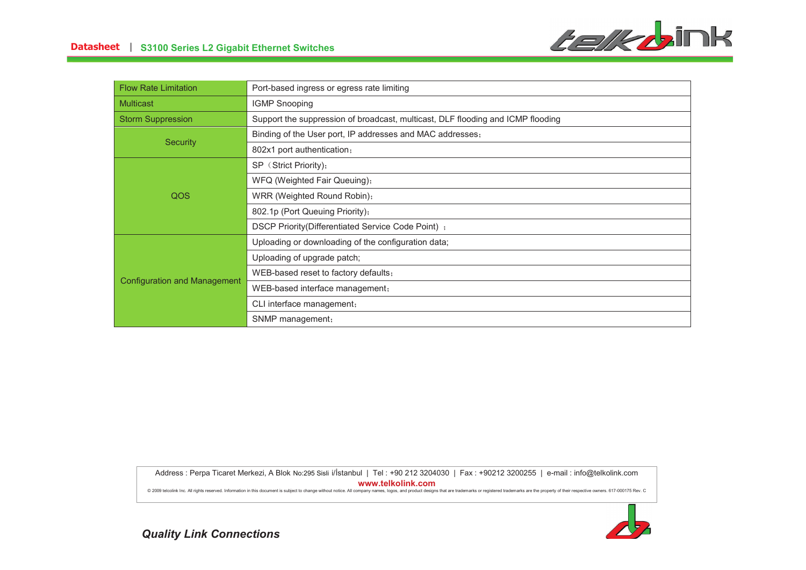

| <b>Flow Rate Limitation</b>  | Port-based ingress or egress rate limiting                                      |  |  |
|------------------------------|---------------------------------------------------------------------------------|--|--|
| <b>Multicast</b>             | <b>IGMP Snooping</b>                                                            |  |  |
| <b>Storm Suppression</b>     | Support the suppression of broadcast, multicast, DLF flooding and ICMP flooding |  |  |
| <b>Security</b>              | Binding of the User port, IP addresses and MAC addresses,                       |  |  |
|                              | 802x1 port authentication,                                                      |  |  |
| QOS                          | SP (Strict Priority);                                                           |  |  |
|                              | WFQ (Weighted Fair Queuing),                                                    |  |  |
|                              | WRR (Weighted Round Robin),                                                     |  |  |
|                              | 802.1p (Port Queuing Priority);                                                 |  |  |
|                              | DSCP Priority(Differentiated Service Code Point);                               |  |  |
| Configuration and Management | Uploading or downloading of the configuration data;                             |  |  |
|                              | Uploading of upgrade patch;                                                     |  |  |
|                              | WEB-based reset to factory defaults;                                            |  |  |
|                              | WEB-based interface management,                                                 |  |  |
|                              | CLI interface management,                                                       |  |  |
|                              | SNMP management;                                                                |  |  |

Address : Perpa Ticaret Merkezi, A Blok No:295 Sisli i/İstanbul | Tel : +90 212 3204030 | Fax : +90212 3200255 | e-mail : info@telkolink.com

 $www.telkolink.com$ 

@ 2009 telcolink Inc. All rights reserved. Information in this document is subject to change without notice. All company names, logos, and product designs that are trademarks or registered trademarks are the property of th